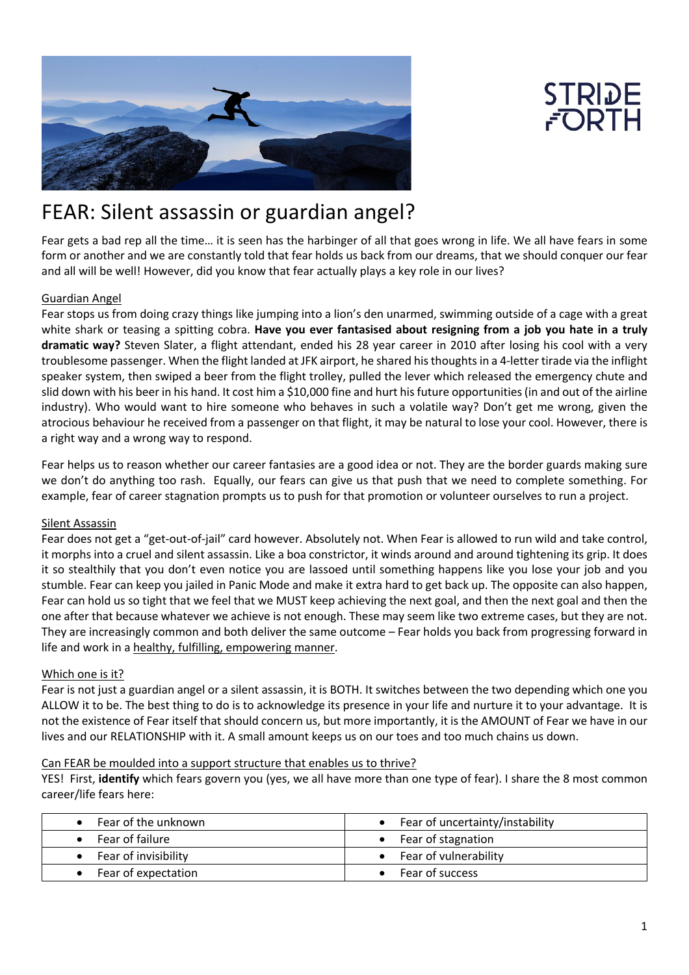



# FEAR: Silent assassin or guardian angel?

Fear gets a bad rep all the time… it is seen has the harbinger of all that goes wrong in life. We all have fears in some form or another and we are constantly told that fear holds us back from our dreams, that we should conquer our fear and all will be well! However, did you know that fear actually plays a key role in our lives?

# Guardian Angel

Fear stops us from doing crazy things like jumping into a lion's den unarmed, swimming outside of a cage with a great white shark or teasing a spitting cobra. **Have you ever fantasised about resigning from a job you hate in a truly dramatic way?** Steven Slater, a flight attendant, ended his 28 year career in 2010 after losing his cool with a very troublesome passenger. When the flight landed at JFK airport, he shared his thoughts in a 4-letter tirade via the inflight speaker system, then swiped a beer from the flight trolley, pulled the lever which released the emergency chute and slid down with his beer in his hand. It cost him a \$10,000 fine and hurt his future opportunities (in and out of the airline industry). Who would want to hire someone who behaves in such a volatile way? Don't get me wrong, given the atrocious behaviour he received from a passenger on that flight, it may be natural to lose your cool. However, there is a right way and a wrong way to respond.

Fear helps us to reason whether our career fantasies are a good idea or not. They are the border guards making sure we don't do anything too rash. Equally, our fears can give us that push that we need to complete something. For example, fear of career stagnation prompts us to push for that promotion or volunteer ourselves to run a project.

# Silent Assassin

Fear does not get a "get-out-of-jail" card however. Absolutely not. When Fear is allowed to run wild and take control, it morphs into a cruel and silent assassin. Like a boa constrictor, it winds around and around tightening its grip. It does it so stealthily that you don't even notice you are lassoed until something happens like you lose your job and you stumble. Fear can keep you jailed in Panic Mode and make it extra hard to get back up. The opposite can also happen, Fear can hold us so tight that we feel that we MUST keep achieving the next goal, and then the next goal and then the one after that because whatever we achieve is not enough. These may seem like two extreme cases, but they are not. They are increasingly common and both deliver the same outcome – Fear holds you back from progressing forward in life and work in a healthy, fulfilling, empowering manner.

# Which one is it?

Fear is not just a guardian angel or a silent assassin, it is BOTH. It switches between the two depending which one you ALLOW it to be. The best thing to do is to acknowledge its presence in your life and nurture it to your advantage. It is not the existence of Fear itself that should concern us, but more importantly, it is the AMOUNT of Fear we have in our lives and our RELATIONSHIP with it. A small amount keeps us on our toes and too much chains us down.

### Can FEAR be moulded into a support structure that enables us to thrive?

YES! First, **identify** which fears govern you (yes, we all have more than one type of fear). I share the 8 most common career/life fears here:

| Fear of the unknown  | Fear of uncertainty/instability |
|----------------------|---------------------------------|
| Fear of failure      | • Fear of stagnation            |
| Fear of invisibility | • Fear of vulnerability         |
| Fear of expectation  | Fear of success                 |